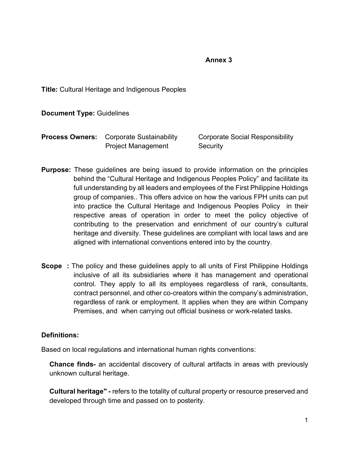#### **Annex 3**

**Title:** Cultural Heritage and Indigenous Peoples

**Document Type:** Guidelines

| <b>Process Owners:</b> Corporate Sustainability | <b>Corporate Social Responsibility</b> |
|-------------------------------------------------|----------------------------------------|
| <b>Project Management</b>                       | Security                               |

- **Purpose:** These guidelines are being issued to provide information on the principles behind the "Cultural Heritage and Indigenous Peoples Policy" and facilitate its full understanding by all leaders and employees of the First Philippine Holdings group of companies.. This offers advice on how the various FPH units can put into practice the Cultural Heritage and Indigenous Peoples Policy in their respective areas of operation in order to meet the policy objective of contributing to the preservation and enrichment of our country's cultural heritage and diversity. These guidelines are compliant with local laws and are aligned with international conventions entered into by the country.
- **Scope** : The policy and these guidelines apply to all units of First Philippine Holdings inclusive of all its subsidiaries where it has management and operational control. They apply to all its employees regardless of rank, consultants, contract personnel, and other co-creators within the company's administration, regardless of rank or employment. It applies when they are within Company Premises, and when carrying out official business or work-related tasks.

## **Definitions:**

Based on local regulations and international human rights conventions:

**Chance finds-** an accidental discovery of cultural artifacts in areas with previously unknown cultural heritage.

**Cultural heritage" -** refers to the totality of cultural property or resource preserved and developed through time and passed on to posterity.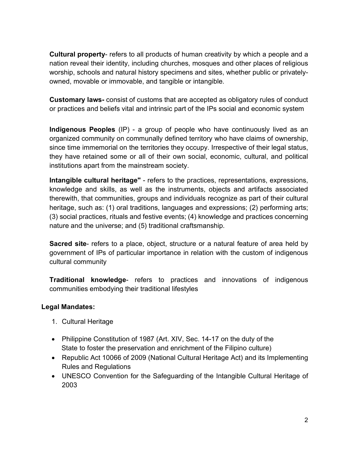**Cultural property**- refers to all products of human creativity by which a people and a nation reveal their identity, including churches, mosques and other places of religious worship, schools and natural history specimens and sites, whether public or privatelyowned, movable or immovable, and tangible or intangible.

**Customary laws-** consist of customs that are accepted as obligatory rules of conduct or practices and beliefs vital and intrinsic part of the IPs social and economic system

**Indigenous Peoples** (IP) - a group of people who have continuously lived as an organized community on communally defined territory who have claims of ownership, since time immemorial on the territories they occupy. Irrespective of their legal status, they have retained some or all of their own social, economic, cultural, and political institutions apart from the mainstream society.

**Intangible cultural heritage"** - refers to the practices, representations, expressions, knowledge and skills, as well as the instruments, objects and artifacts associated therewith, that communities, groups and individuals recognize as part of their cultural heritage, such as: (1) oral traditions, languages and expressions; (2) performing arts; (3) social practices, rituals and festive events; (4) knowledge and practices concerning nature and the universe; and (5) traditional craftsmanship.

**Sacred site**- refers to a place, object, structure or a natural feature of area held by government of IPs of particular importance in relation with the custom of indigenous cultural community

**Traditional knowledge**- refers to practices and innovations of indigenous communities embodying their traditional lifestyles

## **Legal Mandates:**

- 1. Cultural Heritage
- Philippine Constitution of 1987 (Art. XIV, Sec. 14-17 on the duty of the State to foster the preservation and enrichment of the Filipino culture)
- Republic Act 10066 of 2009 (National Cultural Heritage Act) and its Implementing Rules and Regulations
- UNESCO Convention for the Safeguarding of the Intangible Cultural Heritage of 2003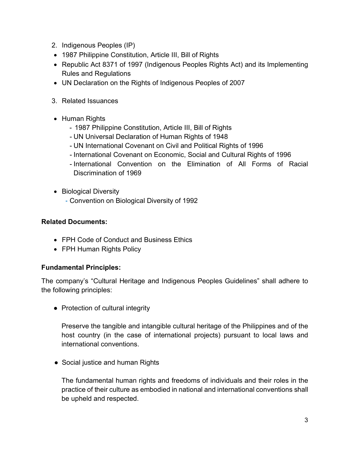- 2. Indigenous Peoples (IP)
- 1987 Philippine Constitution, Article III, Bill of Rights
- Republic Act 8371 of 1997 (Indigenous Peoples Rights Act) and its Implementing Rules and Regulations
- UN Declaration on the Rights of Indigenous Peoples of 2007
- 3. Related Issuances
- Human Rights
	- 1987 Philippine Constitution, Article III, Bill of Rights
	- UN Universal Declaration of Human Rights of 1948
	- UN International Covenant on Civil and Political Rights of 1996
	- International Covenant on Economic, Social and Cultural Rights of 1996
	- International Convention on the Elimination of All Forms of Racial Discrimination of 1969
- Biological Diversity
	- Convention on Biological Diversity of 1992

## **Related Documents:**

- FPH Code of Conduct and Business Ethics
- FPH Human Rights Policy

## **Fundamental Principles:**

The company's "Cultural Heritage and Indigenous Peoples Guidelines" shall adhere to the following principles:

● Protection of cultural integrity

Preserve the tangible and intangible cultural heritage of the Philippines and of the host country (in the case of international projects) pursuant to local laws and international conventions.

• Social justice and human Rights

The fundamental human rights and freedoms of individuals and their roles in the practice of their culture as embodied in national and international conventions shall be upheld and respected.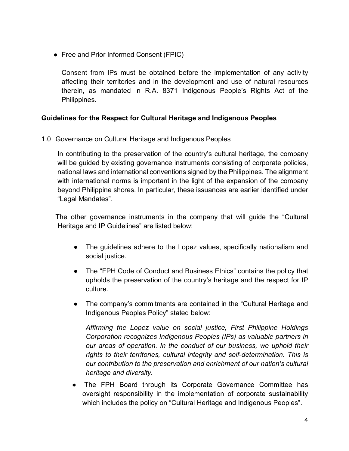• Free and Prior Informed Consent (FPIC)

Consent from IPs must be obtained before the implementation of any activity affecting their territories and in the development and use of natural resources therein, as mandated in R.A. 8371 Indigenous People's Rights Act of the Philippines.

# **Guidelines for the Respect for Cultural Heritage and Indigenous Peoples**

1.0Governance on Cultural Heritage and Indigenous Peoples

In contributing to the preservation of the country's cultural heritage, the company will be guided by existing governance instruments consisting of corporate policies, national laws and international conventions signed by the Philippines. The alignment with international norms is important in the light of the expansion of the company beyond Philippine shores. In particular, these issuances are earlier identified under "Legal Mandates".

The other governance instruments in the company that will guide the "Cultural Heritage and IP Guidelines" are listed below:

- The guidelines adhere to the Lopez values, specifically nationalism and social justice.
- The "FPH Code of Conduct and Business Ethics" contains the policy that upholds the preservation of the country's heritage and the respect for IP culture.
- The company's commitments are contained in the "Cultural Heritage and Indigenous Peoples Policy" stated below:

*Affirming the Lopez value on social justice, First Philippine Holdings Corporation recognizes Indigenous Peoples (IPs) as valuable partners in our areas of operation. In the conduct of our business, we uphold their rights to their territories, cultural integrity and self-determination. This is our contribution to the preservation and enrichment of our nation's cultural heritage and diversity.*

The FPH Board through its Corporate Governance Committee has oversight responsibility in the implementation of corporate sustainability which includes the policy on "Cultural Heritage and Indigenous Peoples".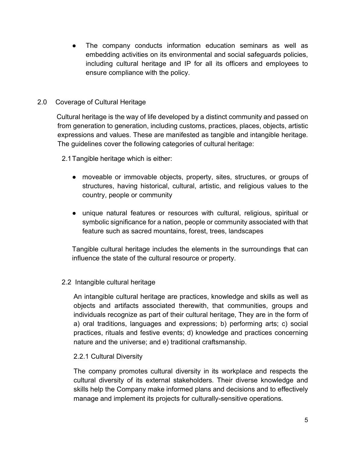The company conducts information education seminars as well as embedding activities on its environmental and social safeguards policies, including cultural heritage and IP for all its officers and employees to ensure compliance with the policy.

#### 2.0 Coverage of Cultural Heritage

 Cultural heritage is the way of life developed by a distinct community and passed on from generation to generation, including customs, practices, places, objects, artistic expressions and values. These are manifested as tangible and intangible heritage. The guidelines cover the following categories of cultural heritage:

2.1Tangible heritage which is either:

- moveable or immovable objects, property, sites, structures, or groups of structures, having historical, cultural, artistic, and religious values to the country, people or community
- unique natural features or resources with cultural, religious, spiritual or symbolic significance for a nation, people or community associated with that feature such as sacred mountains, forest, trees, landscapes

Tangible cultural heritage includes the elements in the surroundings that can influence the state of the cultural resource or property.

## 2.2 Intangible cultural heritage

An intangible cultural heritage are practices, knowledge and skills as well as objects and artifacts associated therewith, that communities, groups and individuals recognize as part of their cultural heritage, They are in the form of a) oral traditions, languages and expressions; b) performing arts; c) social practices, rituals and festive events; d) knowledge and practices concerning nature and the universe; and e) traditional craftsmanship.

## 2.2.1 Cultural Diversity

The company promotes cultural diversity in its workplace and respects the cultural diversity of its external stakeholders. Their diverse knowledge and skills help the Company make informed plans and decisions and to effectively manage and implement its projects for culturally-sensitive operations.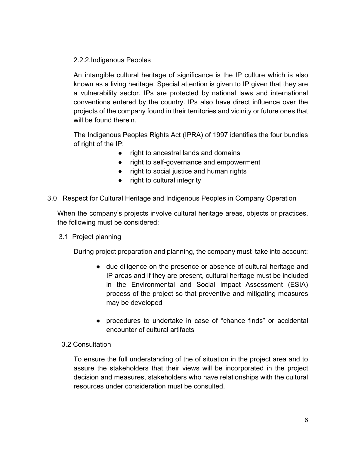## 2.2.2.Indigenous Peoples

An intangible cultural heritage of significance is the IP culture which is also known as a living heritage. Special attention is given to IP given that they are a vulnerability sector. IPs are protected by national laws and international conventions entered by the country. IPs also have direct influence over the projects of the company found in their territories and vicinity or future ones that will be found therein.

The Indigenous Peoples Rights Act (IPRA) of 1997 identifies the four bundles of right of the IP:

- right to ancestral lands and domains
- right to self-governance and empowerment
- right to social justice and human rights
- right to cultural integrity
- 3.0 Respect for Cultural Heritage and Indigenous Peoples in Company Operation

When the company's projects involve cultural heritage areas, objects or practices, the following must be considered:

3.1 Project planning

During project preparation and planning, the company must take into account:

- due diligence on the presence or absence of cultural heritage and IP areas and if they are present, cultural heritage must be included in the Environmental and Social Impact Assessment (ESIA) process of the project so that preventive and mitigating measures may be developed
- procedures to undertake in case of "chance finds" or accidental encounter of cultural artifacts

## 3.2 Consultation

To ensure the full understanding of the of situation in the project area and to assure the stakeholders that their views will be incorporated in the project decision and measures, stakeholders who have relationships with the cultural resources under consideration must be consulted.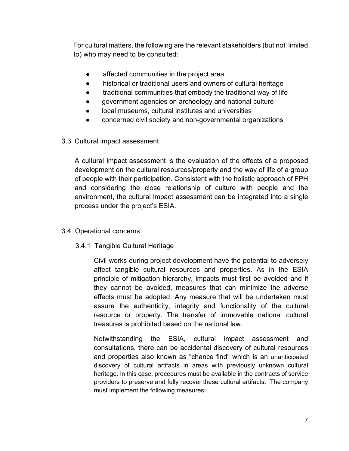For cultural matters, the following are the relevant stakeholders (but not limited to) who may need to be consulted:

- affected communities in the project area
- historical or traditional users and owners of cultural heritage
- traditional communities that embody the traditional way of life
- government agencies on archeology and national culture
- local museums, cultural institutes and universities
- concerned civil society and non-governmental organizations

#### 3.3 Cultural impact assessment

A cultural impact assessment is the evaluation of the effects of a proposed development on the cultural resources/property and the way of life of a group of people with their participation. Consistent with the holistic approach of FPH and considering the close relationship of culture with people and the environment, the cultural impact assessment can be integrated into a single process under the project's ESIA.

## 3.4 Operational concerns

## 3.4.1 Tangible Cultural Heritage

Civil works during project development have the potential to adversely affect tangible cultural resources and properties. As in the ESIA principle of mitigation hierarchy, impacts must first be avoided and if they cannot be avoided, measures that can minimize the adverse effects must be adopted. Any measure that will be undertaken must assure the authenticity, integrity and functionality of the cultural resource or property. The transfer of immovable national cultural treasures is prohibited based on the national law.

Notwithstanding the ESIA, cultural impact assessment and consultations, there can be accidental discovery of cultural resources and properties also known as "chance find" which is an unanticipated discovery of cultural artifacts in areas with previously unknown cultural heritage. In this case, procedures must be available in the contracts of service providers to preserve and fully recover these cultural artifacts. The company must implement the following measures: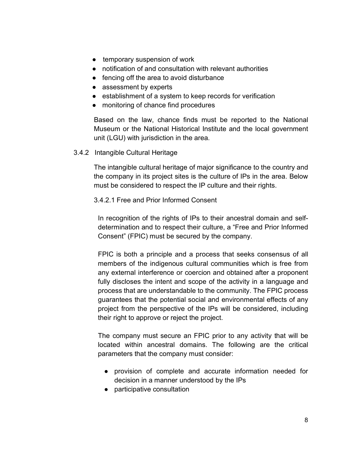- temporary suspension of work
- notification of and consultation with relevant authorities
- fencing off the area to avoid disturbance
- assessment by experts
- establishment of a system to keep records for verification
- monitoring of chance find procedures

Based on the law, chance finds must be reported to the National Museum or the National Historical Institute and the local government unit (LGU) with jurisdiction in the area.

3.4.2 Intangible Cultural Heritage

The intangible cultural heritage of major significance to the country and the company in its project sites is the culture of IPs in the area. Below must be considered to respect the IP culture and their rights.

#### 3.4.2.1 Free and Prior Informed Consent

In recognition of the rights of IPs to their ancestral domain and selfdetermination and to respect their culture, a "Free and Prior Informed Consent" (FPIC) must be secured by the company.

FPIC is both a principle and a process that seeks consensus of all members of the indigenous cultural communities which is free from any external interference or coercion and obtained after a proponent fully discloses the intent and scope of the activity in a language and process that are understandable to the community. The FPIC process guarantees that the potential social and environmental effects of any project from the perspective of the IPs will be considered, including their right to approve or reject the project.

The company must secure an FPIC prior to any activity that will be located within ancestral domains. The following are the critical parameters that the company must consider:

- provision of complete and accurate information needed for decision in a manner understood by the IPs
- participative consultation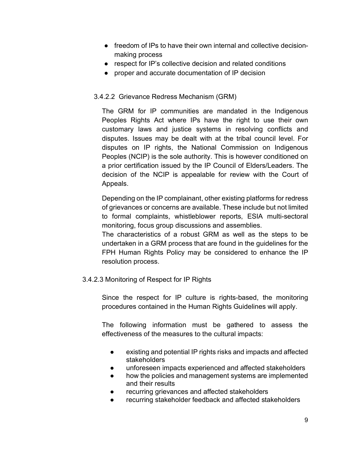- freedom of IPs to have their own internal and collective decisionmaking process
- respect for IP's collective decision and related conditions
- proper and accurate documentation of IP decision

# 3.4.2.2 Grievance Redress Mechanism (GRM)

The GRM for IP communities are mandated in the Indigenous Peoples Rights Act where IPs have the right to use their own customary laws and justice systems in resolving conflicts and disputes. Issues may be dealt with at the tribal council level. For disputes on IP rights, the National Commission on Indigenous Peoples (NCIP) is the sole authority. This is however conditioned on a prior certification issued by the IP Council of Elders/Leaders. The decision of the NCIP is appealable for review with the Court of Appeals.

Depending on the IP complainant, other existing platforms for redress of grievances or concerns are available. These include but not limited to formal complaints, whistleblower reports, ESIA multi-sectoral monitoring, focus group discussions and assemblies.

The characteristics of a robust GRM as well as the steps to be undertaken in a GRM process that are found in the guidelines for the FPH Human Rights Policy may be considered to enhance the IP resolution process.

3.4.2.3 Monitoring of Respect for IP Rights

Since the respect for IP culture is rights-based, the monitoring procedures contained in the Human Rights Guidelines will apply.

The following information must be gathered to assess the effectiveness of the measures to the cultural impacts:

- existing and potential IP rights risks and impacts and affected stakeholders
- unforeseen impacts experienced and affected stakeholders
- how the policies and management systems are implemented and their results
- recurring grievances and affected stakeholders
- recurring stakeholder feedback and affected stakeholders